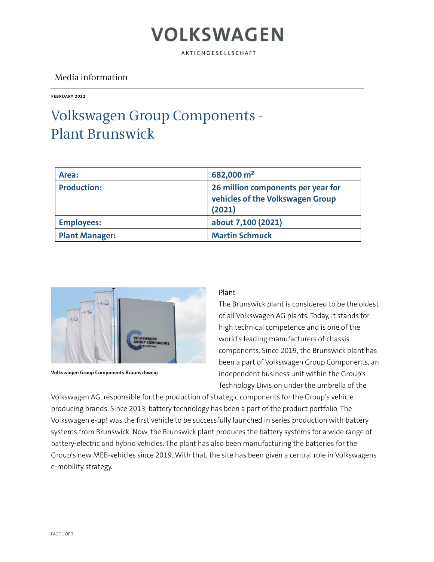### VOLKSWAGEN

AKTIENGESELLSCHAFT

### Media information

**FEBRUARY 2022** 

### Volkswagen Group Components - Plant Brunswick

| Area:                 | 682,000 m <sup>2</sup>                                                           |
|-----------------------|----------------------------------------------------------------------------------|
| <b>Production:</b>    | 26 million components per year for<br>vehicles of the Volkswagen Group<br>(2021) |
| <b>Employees:</b>     | about 7,100 (2021)                                                               |
| <b>Plant Manager:</b> | <b>Martin Schmuck</b>                                                            |



**Volkswagen Group Components Braunschweig** 

#### Plant

The Brunswick plant is considered to be the oldest of all Volkswagen AG plants. Today, it stands for high technical competence and is one of the world's leading manufacturers of chassis components. Since 2019, the Brunswick plant has been a part of Volkswagen Group Components, an independent business unit within the Group's Technology Division under the umbrella of the

Volkswagen AG, responsible for the production of strategic components for the Group's vehicle producing brands. Since 2013, battery technology has been a part of the product portfolio. The Volkswagen e-up! was the first vehicle to be successfully launched in series production with battery systems from Brunswick. Now, the Brunswick plant produces the battery systems for a wide range of battery-electric and hybrid vehicles. The plant has also been manufacturing the batteries for the Group's new MEB-vehicles since 2019. With that, the site has been given a central role in Volkswagens e-mobility strategy.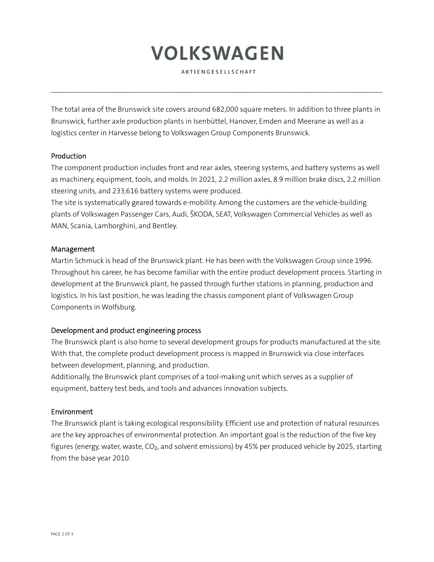# VOLKSWAGEN

AKTIENGESELLSCHAFT

 $\mathcal{L}_\mathcal{L} = \{ \mathcal{L}_\mathcal{L} = \{ \mathcal{L}_\mathcal{L} = \{ \mathcal{L}_\mathcal{L} = \{ \mathcal{L}_\mathcal{L} = \{ \mathcal{L}_\mathcal{L} = \{ \mathcal{L}_\mathcal{L} = \{ \mathcal{L}_\mathcal{L} = \{ \mathcal{L}_\mathcal{L} = \{ \mathcal{L}_\mathcal{L} = \{ \mathcal{L}_\mathcal{L} = \{ \mathcal{L}_\mathcal{L} = \{ \mathcal{L}_\mathcal{L} = \{ \mathcal{L}_\mathcal{L} = \{ \mathcal{L}_\mathcal{$ 

The total area of the Brunswick site covers around 682,000 square meters. In addition to three plants in Brunswick, further axle production plants in Isenbüttel, Hanover, Emden and Meerane as well as a logistics center in Harvesse belong to Volkswagen Group Components Brunswick.

#### Production

The component production includes front and rear axles, steering systems, and battery systems as well as machinery, equipment, tools, and molds. In 2021, 2.2 million axles, 8.9 million brake discs, 2.2 million steering units, and 233,616 battery systems were produced.

The site is systematically geared towards e-mobility. Among the customers are the vehicle-building plants of Volkswagen Passenger Cars, Audi, ŠKODA, SEAT, Volkswagen Commercial Vehicles as well as MAN, Scania, Lamborghini, and Bentley.

#### Management

Martin Schmuck is head of the Brunswick plant. He has been with the Volkswagen Group since 1996. Throughout his career, he has become familiar with the entire product development process. Starting in development at the Brunswick plant, he passed through further stations in planning, production and logistics. In his last position, he was leading the chassis component plant of Volkswagen Group Components in Wolfsburg.

#### Development and product engineering process

The Brunswick plant is also home to several development groups for products manufactured at the site. With that, the complete product development process is mapped in Brunswick via close interfaces between development, planning, and production.

Additionally, the Brunswick plant comprises of a tool-making unit which serves as a supplier of equipment, battery test beds, and tools and advances innovation subjects.

#### Environment

The Brunswick plant is taking ecological responsibility. Efficient use and protection of natural resources are the key approaches of environmental protection. An important goal is the reduction of the five key figures (energy, water, waste, CO<sub>2</sub>, and solvent emissions) by 45% per produced vehicle by 2025, starting from the base year 2010.